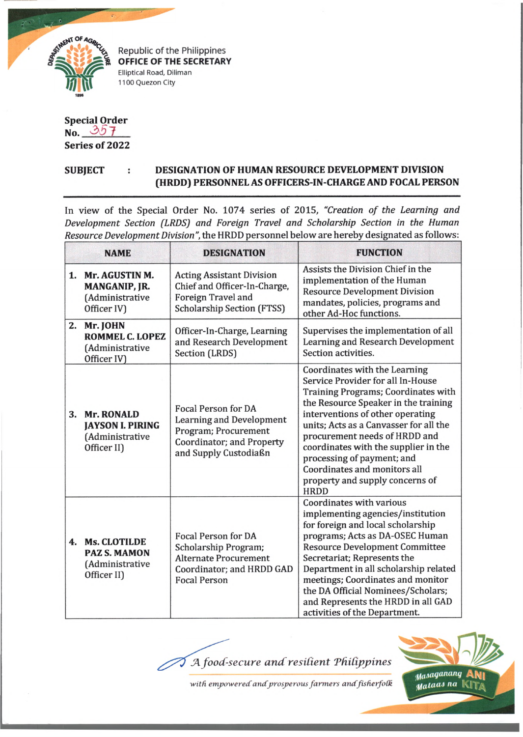

Republic of the Philippines **OFFICE OF THE SECRETARY** Elliptical Road, Diliman 1100 Quezon City

**Special Order** No.  $357$ **Series of 2022**

## **SUBJECT DESIGNATION OF HUMAN RESOURCE DEVELOPMENT DIVISION (HRDD) PERSONNEL AS OFFICERS-IN-CHARGE AND FOCAL PERSON**

In view of the Special Order No. 1074 series of 2015, "Creation of the Learning and *Development Section (LRDS) and Foreign Travel and Scholarship Section in the Human Resource Development Division",* the HRDD personnel below are hereby designated as follows:

|    | <b>NAME</b>                                                                    | <b>DESIGNATION</b>                                                                                                                          | <b>FUNCTION</b>                                                                                                                                                                                                                                                                                                                                                                                                          |
|----|--------------------------------------------------------------------------------|---------------------------------------------------------------------------------------------------------------------------------------------|--------------------------------------------------------------------------------------------------------------------------------------------------------------------------------------------------------------------------------------------------------------------------------------------------------------------------------------------------------------------------------------------------------------------------|
|    | 1. Mr. AGUSTIN M.<br>MANGANIP, JR.<br>(Administrative<br>Officer IV)           | <b>Acting Assistant Division</b><br>Chief and Officer-In-Charge,<br>Foreign Travel and<br><b>Scholarship Section (FTSS)</b>                 | Assists the Division Chief in the<br>implementation of the Human<br><b>Resource Development Division</b><br>mandates, policies, programs and<br>other Ad-Hoc functions.                                                                                                                                                                                                                                                  |
| 2. | Mr. JOHN<br><b>ROMMEL C. LOPEZ</b><br>(Administrative<br>Officer IV)           | Officer-In-Charge, Learning<br>and Research Development<br>Section (LRDS)                                                                   | Supervises the implementation of all<br>Learning and Research Development<br>Section activities.                                                                                                                                                                                                                                                                                                                         |
| 3. | <b>Mr. RONALD</b><br><b>JAYSON I. PIRING</b><br>(Administrative<br>Officer II) | <b>Focal Person for DA</b><br><b>Learning and Development</b><br>Program; Procurement<br>Coordinator; and Property<br>and Supply Custodiaßn | Coordinates with the Learning<br>Service Provider for all In-House<br>Training Programs; Coordinates with<br>the Resource Speaker in the training<br>interventions of other operating<br>units; Acts as a Canvasser for all the<br>procurement needs of HRDD and<br>coordinates with the supplier in the<br>processing of payment; and<br>Coordinates and monitors all<br>property and supply concerns of<br><b>HRDD</b> |
|    | 4. Ms. CLOTILDE<br><b>PAZ S. MAMON</b><br>(Administrative<br>Officer II)       | <b>Focal Person for DA</b><br>Scholarship Program;<br><b>Alternate Procurement</b><br>Coordinator; and HRDD GAD<br><b>Focal Person</b>      | Coordinates with various<br>implementing agencies/institution<br>for foreign and local scholarship<br>programs; Acts as DA-OSEC Human<br><b>Resource Development Committee</b><br>Secretariat; Represents the<br>Department in all scholarship related<br>meetings; Coordinates and monitor<br>the DA Official Nominees/Scholars;<br>and Represents the HRDD in all GAD<br>activities of the Department.                 |

A food-secure and resilient Philippines



with empowered and prosperous farmers and fisherfolk